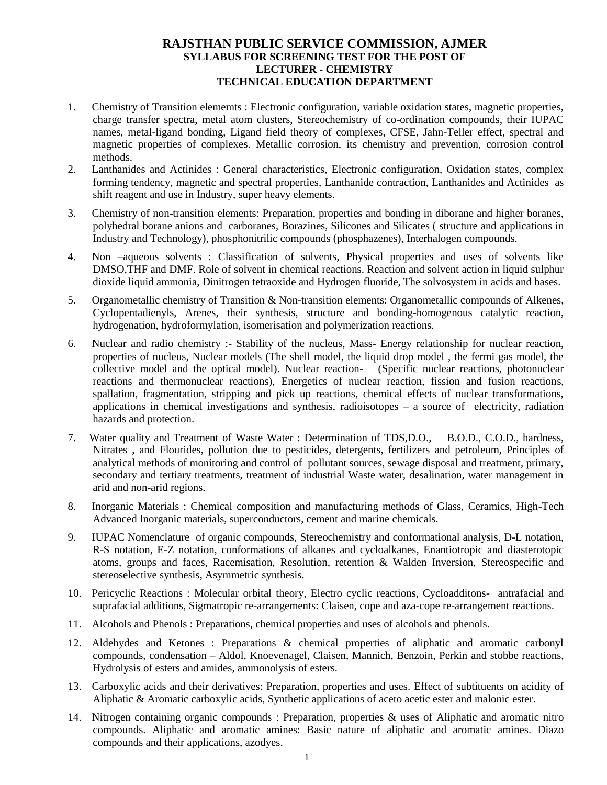## **RAJSTHAN PUBLIC SERVICE COMMISSION, AJMER SYLLABUS FOR SCREENING TEST FOR THE POST OF LECTURER - CHEMISTRY TECHNICAL EDUCATION DEPARTMENT**

- 1. Chemistry of Transition elememts : Electronic configuration, variable oxidation states, magnetic properties, charge transfer spectra, metal atom clusters, Stereochemistry of co-ordination compounds, their IUPAC names, metal-ligand bonding, Ligand field theory of complexes, CFSE, Jahn-Teller effect, spectral and magnetic properties of complexes. Metallic corrosion, its chemistry and prevention, corrosion control methods.
- 2. Lanthanides and Actinides : General characteristics, Electronic configuration, Oxidation states, complex forming tendency, magnetic and spectral properties, Lanthanide contraction, Lanthanides and Actinides as shift reagent and use in Industry, super heavy elements.
- 3. Chemistry of non-transition elements: Preparation, properties and bonding in diborane and higher boranes, polyhedral borane anions and carboranes, Borazines, Silicones and Silicates ( structure and applications in Industry and Technology), phosphonitrilic compounds (phosphazenes), Interhalogen compounds.
- 4. Non –aqueous solvents : Classification of solvents, Physical properties and uses of solvents like DMSO,THF and DMF. Role of solvent in chemical reactions. Reaction and solvent action in liquid sulphur dioxide liquid ammonia, Dinitrogen tetraoxide and Hydrogen fluoride, The solvosystem in acids and bases.
- 5. Organometallic chemistry of Transition & Non-transition elements: Organometallic compounds of Alkenes, Cyclopentadienyls, Arenes, their synthesis, structure and bonding-homogenous catalytic reaction, hydrogenation, hydroformylation, isomerisation and polymerization reactions.
- 6. Nuclear and radio chemistry :- Stability of the nucleus, Mass- Energy relationship for nuclear reaction, properties of nucleus, Nuclear models (The shell model, the liquid drop model , the fermi gas model, the collective model and the optical model). Nuclear reaction- (Specific nuclear reactions, photonuclear reactions and thermonuclear reactions), Energetics of nuclear reaction, fission and fusion reactions, spallation, fragmentation, stripping and pick up reactions, chemical effects of nuclear transformations, applications in chemical investigations and synthesis, radioisotopes – a source of electricity, radiation hazards and protection.
- 7. Water quality and Treatment of Waste Water : Determination of TDS,D.O., B.O.D., C.O.D., hardness, Nitrates , and Flourides, pollution due to pesticides, detergents, fertilizers and petroleum, Principles of analytical methods of monitoring and control of pollutant sources, sewage disposal and treatment, primary, secondary and tertiary treatments, treatment of industrial Waste water, desalination, water management in arid and non-arid regions.
- 8. Inorganic Materials : Chemical composition and manufacturing methods of Glass, Ceramics, High-Tech Advanced Inorganic materials, superconductors, cement and marine chemicals.
- 9. IUPAC Nomenclature of organic compounds, Stereochemistry and conformational analysis, D-L notation, R-S notation, E-Z notation, conformations of alkanes and cycloalkanes, Enantiotropic and diasterotopic atoms, groups and faces, Racemisation, Resolution, retention & Walden Inversion, Stereospecific and stereoselective synthesis, Asymmetric synthesis.
- 10. Pericyclic Reactions : Molecular orbital theory, Electro cyclic reactions, Cycloadditons- antrafacial and suprafacial additions, Sigmatropic re-arrangements: Claisen, cope and aza-cope re-arrangement reactions.
- 11. Alcohols and Phenols : Preparations, chemical properties and uses of alcohols and phenols.
- 12. Aldehydes and Ketones : Preparations & chemical properties of aliphatic and aromatic carbonyl compounds, condensation – Aldol, Knoevenagel, Claisen, Mannich, Benzoin, Perkin and stobbe reactions, Hydrolysis of esters and amides, ammonolysis of esters.
- 13. Carboxylic acids and their derivatives: Preparation, properties and uses. Effect of subtituents on acidity of Aliphatic & Aromatic carboxylic acids, Synthetic applications of aceto acetic ester and malonic ester.
- 14. Nitrogen containing organic compounds : Preparation, properties & uses of Aliphatic and aromatic nitro compounds. Aliphatic and aromatic amines: Basic nature of aliphatic and aromatic amines. Diazo compounds and their applications, azodyes.